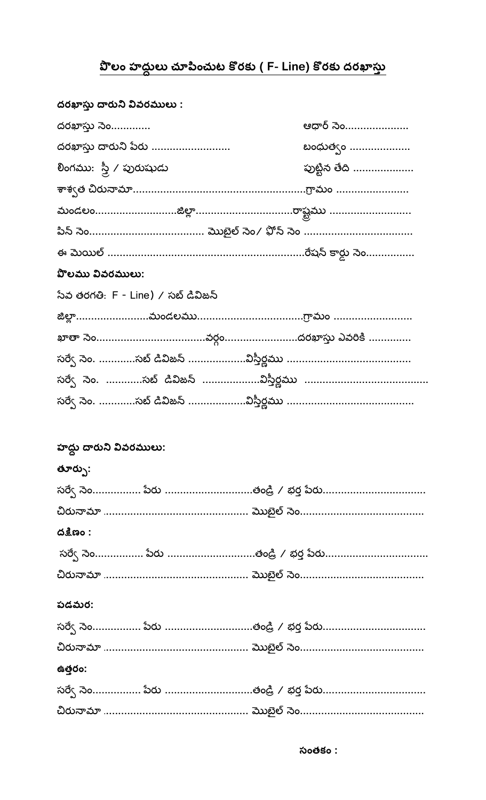## <u>పొలం హద్దులు చూపించుట కొరకు ( F- Line) కొరకు ద</u>రఖాస్తు

| దరఖాస్తు దారుని వివరములు :         |                                   |
|------------------------------------|-----------------------------------|
| దరఖాస్తు సెం                       | ఆధార్ సెం                         |
| దరఖాస్తు దారుని పేరు               | బంధుత్వం                          |
| లింగము: స్త్రీ / పురుషుడు          | పుట్టిన తేది                      |
|                                    |                                   |
|                                    | మండలంజిల్లారాష్ట్రము              |
|                                    |                                   |
|                                    |                                   |
| <b>పొలము వివరములు:</b>             |                                   |
| సేవ తరగతి: F - Line) / సబ్ డివిజన్ |                                   |
|                                    |                                   |
|                                    |                                   |
|                                    |                                   |
|                                    |                                   |
|                                    |                                   |
|                                    |                                   |
| హద్దు దారుని వివరములు:             |                                   |
| తూర్పు:                            |                                   |
|                                    | సర్వే సెం పేరు తండ్రి / భర్త పేరు |
|                                    |                                   |
| ದತ್ಷಿಣಂ :                          |                                   |
|                                    | సర్వే సెం పేరు తండ్రి / భర్త పేరు |
|                                    |                                   |
|                                    |                                   |
| పడమర:                              |                                   |
|                                    | సర్వే సెం పేరు తండ్రి / భర్త పేరు |
|                                    |                                   |
| ఉత్తరం:                            |                                   |
|                                    | సర్వే సెం పేరు తండ్రి / భర్త పేరు |
|                                    |                                   |